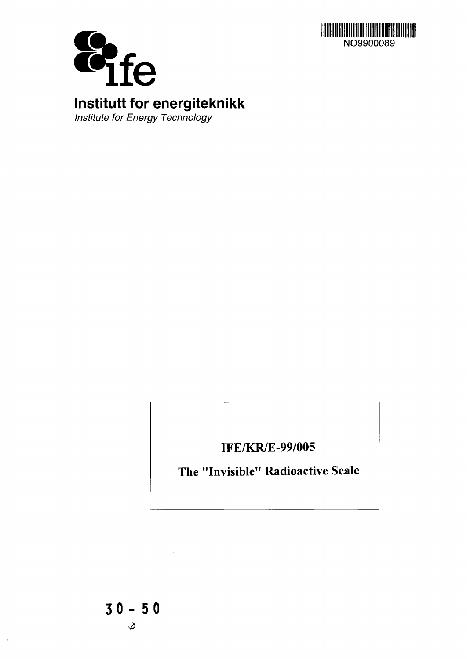



**Institutt for energiteknikk**

Institute for Energy Technology

**IFE/KR/E-99/005**

**The "Invisible" Radioactive Scale**

 $\bar{4}$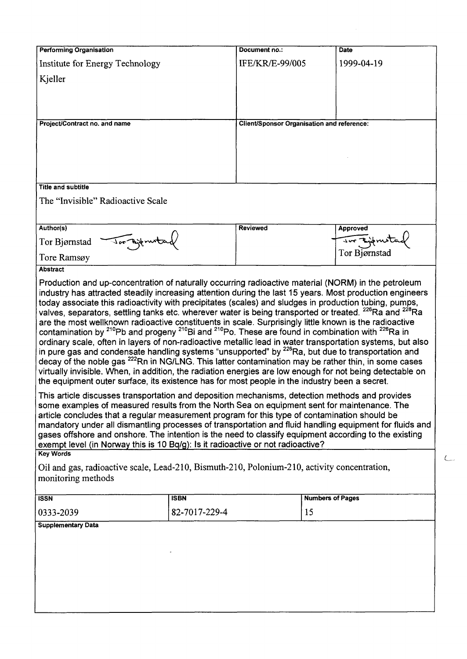| <b>Performing Organisation</b>                                                                                                                                                                                              |               | Document no.:                                     |                         | Date          |  |  |  |  |
|-----------------------------------------------------------------------------------------------------------------------------------------------------------------------------------------------------------------------------|---------------|---------------------------------------------------|-------------------------|---------------|--|--|--|--|
| Institute for Energy Technology                                                                                                                                                                                             |               | <b>IFE/KR/E-99/005</b>                            |                         | 1999-04-19    |  |  |  |  |
| Kjeller                                                                                                                                                                                                                     |               |                                                   |                         |               |  |  |  |  |
|                                                                                                                                                                                                                             |               |                                                   |                         |               |  |  |  |  |
|                                                                                                                                                                                                                             |               |                                                   |                         |               |  |  |  |  |
|                                                                                                                                                                                                                             |               |                                                   |                         |               |  |  |  |  |
| Project/Contract no. and name                                                                                                                                                                                               |               | <b>Client/Sponsor Organisation and reference:</b> |                         |               |  |  |  |  |
|                                                                                                                                                                                                                             |               |                                                   |                         |               |  |  |  |  |
|                                                                                                                                                                                                                             |               |                                                   |                         |               |  |  |  |  |
|                                                                                                                                                                                                                             |               |                                                   |                         |               |  |  |  |  |
| <b>Title and subtitle</b>                                                                                                                                                                                                   |               |                                                   |                         |               |  |  |  |  |
| The "Invisible" Radioactive Scale                                                                                                                                                                                           |               |                                                   |                         |               |  |  |  |  |
|                                                                                                                                                                                                                             |               |                                                   |                         |               |  |  |  |  |
|                                                                                                                                                                                                                             |               |                                                   |                         |               |  |  |  |  |
| Author(s)                                                                                                                                                                                                                   |               | Reviewed                                          |                         | Approved      |  |  |  |  |
| Jor Ajerun<br>Tor Bjørnstad                                                                                                                                                                                                 |               |                                                   |                         | Tor Bjørnstad |  |  |  |  |
| Tore Ramsøy                                                                                                                                                                                                                 |               |                                                   |                         |               |  |  |  |  |
| <b>Abstract</b>                                                                                                                                                                                                             |               |                                                   |                         |               |  |  |  |  |
| Production and up-concentration of naturally occurring radioactive material (NORM) in the petroleum                                                                                                                         |               |                                                   |                         |               |  |  |  |  |
| industry has attracted steadily increasing attention during the last 15 years. Most production engineers<br>today associate this radioactivity with precipitates (scales) and sludges in production tubing, pumps,          |               |                                                   |                         |               |  |  |  |  |
| valves, separators, settling tanks etc. wherever water is being transported or treated. <sup>226</sup> Ra and <sup>228</sup> Ra                                                                                             |               |                                                   |                         |               |  |  |  |  |
| are the most wellknown radioactive constituents in scale. Surprisingly little known is the radioactive                                                                                                                      |               |                                                   |                         |               |  |  |  |  |
| contamination by <sup>210</sup> Pb and progeny <sup>210</sup> Bi and <sup>210</sup> Po. These are found in combination with <sup>226</sup> Ra in                                                                            |               |                                                   |                         |               |  |  |  |  |
| ordinary scale, often in layers of non-radioactive metallic lead in water transportation systems, but also<br>in pure gas and condensate handling systems "unsupported" by <sup>226</sup> Ra, but due to transportation and |               |                                                   |                         |               |  |  |  |  |
| decay of the noble gas <sup>222</sup> Rn in NG/LNG. This latter contamination may be rather thin, in some cases                                                                                                             |               |                                                   |                         |               |  |  |  |  |
| virtually invisible. When, in addition, the radiation energies are low enough for not being detectable on                                                                                                                   |               |                                                   |                         |               |  |  |  |  |
| the equipment outer surface, its existence has for most people in the industry been a secret.                                                                                                                               |               |                                                   |                         |               |  |  |  |  |
| This article discusses transportation and deposition mechanisms, detection methods and provides                                                                                                                             |               |                                                   |                         |               |  |  |  |  |
| some examples of measured results from the North Sea on equipment sent for maintenance. The                                                                                                                                 |               |                                                   |                         |               |  |  |  |  |
| article concludes that a regular measurement program for this type of contamination should be                                                                                                                               |               |                                                   |                         |               |  |  |  |  |
| mandatory under all dismantling processes of transportation and fluid handling equipment for fluids and<br>gases offshore and onshore. The intention is the need to classify equipment according to the existing            |               |                                                   |                         |               |  |  |  |  |
| exempt level (in Norway this is 10 Bq/g): Is it radioactive or not radioactive?                                                                                                                                             |               |                                                   |                         |               |  |  |  |  |
| <b>Key Words</b>                                                                                                                                                                                                            |               |                                                   |                         |               |  |  |  |  |
| Oil and gas, radioactive scale, Lead-210, Bismuth-210, Polonium-210, activity concentration,                                                                                                                                |               |                                                   |                         |               |  |  |  |  |
| monitoring methods                                                                                                                                                                                                          |               |                                                   |                         |               |  |  |  |  |
| <b>ISSN</b>                                                                                                                                                                                                                 | <b>ISBN</b>   |                                                   | <b>Numbers of Pages</b> |               |  |  |  |  |
| 0333-2039                                                                                                                                                                                                                   | 82-7017-229-4 |                                                   | 15                      |               |  |  |  |  |
| <b>Supplementary Data</b>                                                                                                                                                                                                   |               |                                                   |                         |               |  |  |  |  |
|                                                                                                                                                                                                                             |               |                                                   |                         |               |  |  |  |  |
|                                                                                                                                                                                                                             |               |                                                   |                         |               |  |  |  |  |
|                                                                                                                                                                                                                             |               |                                                   |                         |               |  |  |  |  |
|                                                                                                                                                                                                                             |               |                                                   |                         |               |  |  |  |  |
|                                                                                                                                                                                                                             |               |                                                   |                         |               |  |  |  |  |
|                                                                                                                                                                                                                             |               |                                                   |                         |               |  |  |  |  |
|                                                                                                                                                                                                                             |               |                                                   |                         |               |  |  |  |  |
|                                                                                                                                                                                                                             |               |                                                   |                         |               |  |  |  |  |

 $\subset$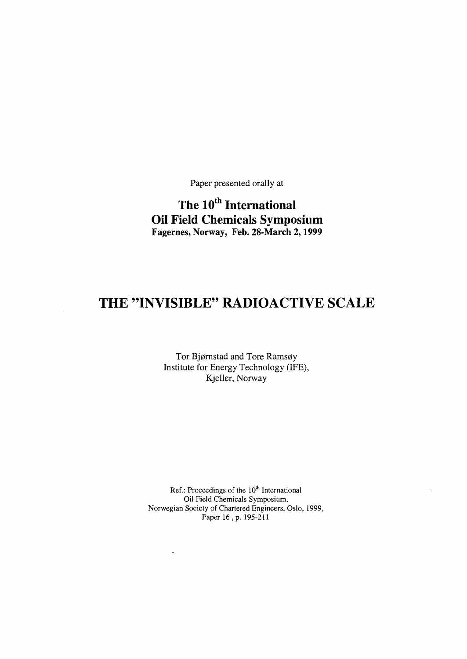Paper presented orally at

**The 10th International Oil Field Chemicals Symposium** Fagernes, Norway, Feb. 28-March 2,1999

# **THE "INVISIBLE" RADIOACTIVE SCALE**

Tor Bjørnstad and Tore Ramsøy Institute for Energy Technology (IFE), Kjeller, Norway

Ref.: Proceedings of the  $10<sup>th</sup>$  International Oil Field Chemicals Symposium, Norwegian Society of Chartered Engineers, Oslo, 1999, Paper 16, p. 195-211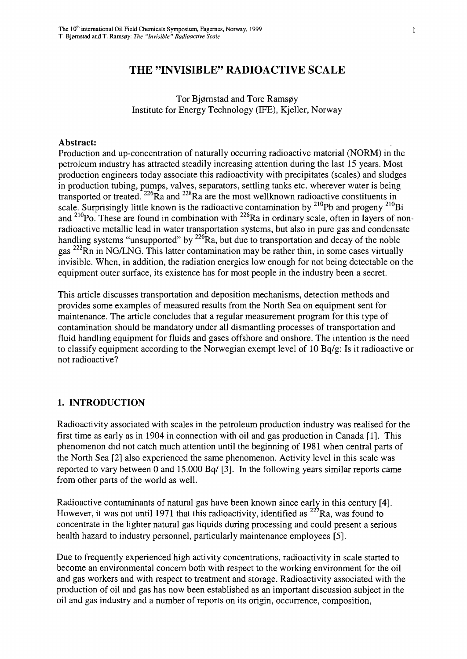Tor Bjørnstad and Tore Ramsøy Institute for Energy Technology (IFE), Kjeller, Norway

#### **Abstract:**

Production and up-concentration of naturally occurring radioactive material (NORM) in the petroleum industry has attracted steadily increasing attention during the last 15 years. Most production engineers today associate this radioactivity with precipitates (scales) and sludges in production tubing, pumps, valves, separators, settling tanks etc. wherever water is being transported or treated.  $^{226}$ Ra and  $^{228}$ Ra are the most wellknown radioactive constituents in scale. Surprisingly little known is the radioactive contamination by  $^{210}Pb$  and progeny  $^{210}B$ and  $^{210}$ Po. These are found in combination with  $^{226}$ Ra in ordinary scale, often in layers of nonradioactive metallic lead in water transportation systems, but also in pure gas and condensate handling systems "unsupported" by  $^{226}$ Ra, but due to transportation and decay of the noble gas <sup>222</sup>Rn in NG/LNG. This latter contamination may be rather thin, in some cases virtually invisible. When, in addition, the radiation energies low enough for not being detectable on the equipment outer surface, its existence has for most people in the industry been a secret.

This article discusses transportation and deposition mechanisms, detection methods and provides some examples of measured results from the North Sea on equipment sent for maintenance. The article concludes that a regular measurement program for this type of contamination should be mandatory under all dismantling processes of transportation and fluid handling equipment for fluids and gases offshore and onshore. The intention is the need to classify equipment according to the Norwegian exempt level of 10 Bq/g: Is it radioactive or not radioactive?

#### **1. INTRODUCTION**

Radioactivity associated with scales in the petroleum production industry was realised for the first time as early as in 1904 in connection with oil and gas production in Canada [1]. This phenomenon did not catch much attention until the beginning of 1981 when central parts of the North Sea [2] also experienced the same phenomenon. Activity level in this scale was reported to vary between 0 and 15.000 Bq/ [3]. In the following years similar reports came from other parts of the world as well.

Radioactive contaminants of natural gas have been known since early in this century [4]. However, it was not until 1971 that this radioactivity, identified as  $222$ Ra, was found to concentrate in the lighter natural gas liquids during processing and could present a serious health hazard to industry personnel, particularly maintenance employees [5].

Due to frequently experienced high activity concentrations, radioactivity in scale started to become an environmental concern both with respect to the working environment for the oil and gas workers and with respect to treatment and storage. Radioactivity associated with the production of oil and gas has now been established as an important discussion subject in the oil and gas industry and a number of reports on its origin, occurrence, composition,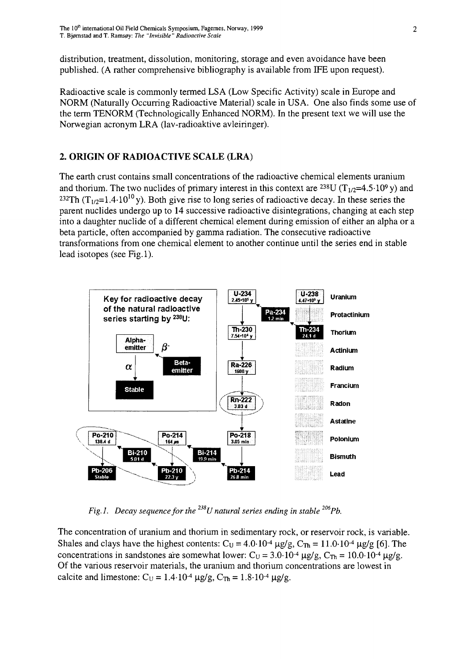distribution, treatment, dissolution, monitoring, storage and even avoidance have been published. (A rather comprehensive bibliography is available from IFE upon request).

Radioactive scale is commonly termed LSA (Low Specific Activity) scale in Europe and NORM (Naturally Occurring Radioactive Material) scale in USA. One also finds some use of the term TENORM (Technologically Enhanced NORM). In the present text we will use the Norwegian acronym LRA (lav-radioaktive avleiringer).

### **2. ORIGIN OF RADIOACTIVE SCALE (LRA)**

The earth crust contains small concentrations of the radioactive chemical elements uranium and thorium. The two nuclides of primary interest in this context are <sup>238</sup>U (T<sub>1/2</sub>=4.5·10<sup>9</sup> y) and <sup>232</sup>Th (T<sub>1/2</sub>=1.4-10<sup>10</sup>y). Both give rise to long series of radioactive decay. In these series the parent nuclides undergo up to 14 successive radioactive disintegrations, changing at each step into a daughter nuclide of a different chemical element during emission of either an alpha or a beta particle, often accompanied by gamma radiation. The consecutive radioactive transformations from one chemical element to another continue until the series end in stable lead isotopes (see Fig.l).



*Fig.1. Decay sequence for the* <sup>238</sup>*U* natural series ending in stable <sup>206</sup>*Pb.* 

The concentration of uranium and thorium in sedimentary rock, or reservoir rock, is variable. Shales and clays have the highest contents:  $C_U = 4.0 \cdot 10^{-4} \mu g/g$ ,  $C_{Th} = 11.0 \cdot 10^{-4} \mu g/g$  [6]. The concentrations in sandstones are somewhat lower:  $C_U = 3.0 \cdot 10^{-4} \mu g/g$ ,  $C_{Th} = 10.0 \cdot 10^{-4}$ Of the various reservoir materials, the uranium and thorium concentrations are lowest in calcite and limestone:  $C_U = 1.4 \cdot 10^{-4} \mu g/g$ ,  $C_{Th} = 1.8 \cdot 10^{-4}$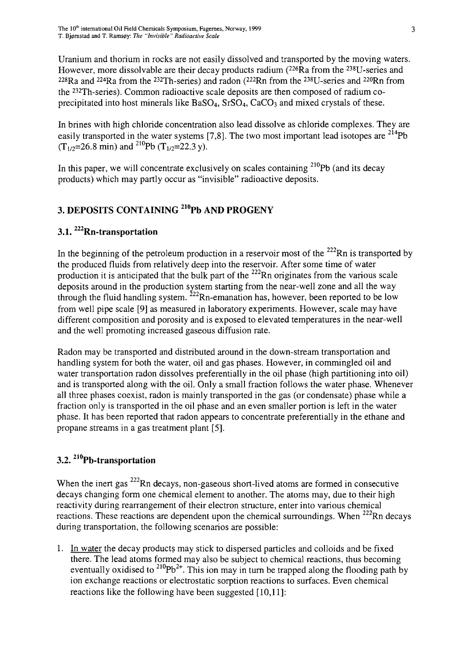Uranium and thorium in rocks are not easily dissolved and transported by the moving waters. However, more dissolvable are their decay products radium (226Ra from the 238U-series and  $228Ra$  and  $224Ra$  from the  $232Th$ -series) and radon ( $222Rn$  from the  $238U$ -series and  $220Rn$  fron the <sup>232</sup>Th-series). Common radioactive scale deposits are then composed of radium coprecipitated into host minerals like  $BaSO<sub>4</sub>$ ,  $SrSO<sub>4</sub>$ ,  $CaCO<sub>3</sub>$  and mixed crystals of these.

In brines with high chloride concentration also lead dissolve as chloride complexes. They are easily transported in the water systems [7,8]. The two most important lead isotopes are  $^{214}$ Pb  $(T_{1/2}=26.8 \text{ min})$  and <sup>210</sup>Pb  $(T_{1/2}=22.3 \text{ y})$ .

In this paper, we will concentrate exclusively on scales containing <sup>210</sup>Pb (and its decay products) which may partly occur as "invisible" radioactive deposits.

# **3. DEPOSITS CONTAINING <sup>210</sup>Pb AND PROGENY**

## **3.1. <sup>222</sup>Rn-transportation**

In the beginning of the petroleum production in a reservoir most of the  $^{222}$ Rn is transported by the produced fluids from relatively deep into the reservoir. After some time of water production it is anticipated that the bulk part of the  $^{222}$ Rn originates from the various scale deposits around in the production system starting from the near-well zone and all the way through the fluid handling system.  $^{222}$ Rn-emanation has, however, been reported to be low from well pipe scale [9] as measured in laboratory experiments. However, scale may have different composition and porosity and is exposed to elevated temperatures in the near-well and the well promoting increased gaseous diffusion rate.

Radon may be transported and distributed around in the down-stream transportation and handling system for both the water, oil and gas phases. However, in commingled oil and water transportation radon dissolves preferentially in the oil phase (high partitioning into oil) and is transported along with the oil. Only a small fraction follows the water phase. Whenever all three phases coexist, radon is mainly transported in the gas (or condensate) phase while a fraction only is transported in the oil phase and an even smaller portion is left in the water phase. It has been reported that radon appears to concentrate preferentially in the ethane and propane streams in a gas treatment plant [5].

## **3.2. <sup>210</sup>Pb-transportation**

When the inert gas  $222$ Rn decays, non-gaseous short-lived atoms are formed in consecutive decays changing form one chemical element to another. The atoms may, due to their high reactivity during rearrangement of their electron structure, enter into various chemical reactions. These reactions are dependent upon the chemical surroundings. When  $222$ Rn decays during transportation, the following scenarios are possible:

1. In water the decay products may stick to dispersed particles and colloids and be fixed there. The lead atoms formed may also be subject to chemical reactions, thus becoming eventually oxidised to  $^{210}Pb^{2+}$ . This ion may in turn be trapped along the flooding path by ion exchange reactions or electrostatic sorption reactions to surfaces. Even chemical reactions like the following have been suggested [10,11]: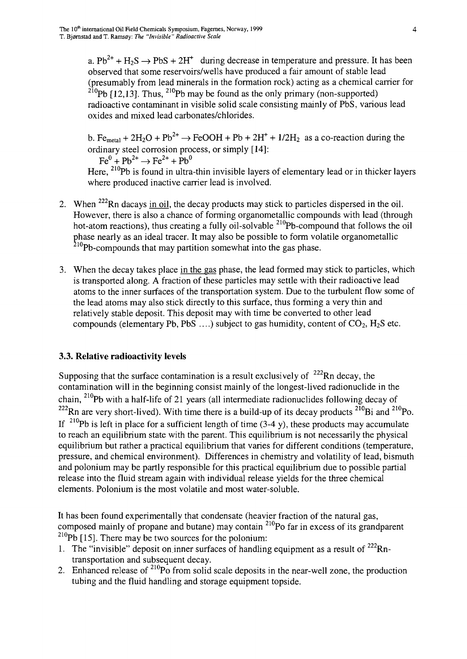a.  $Pb^{2+} + H_2S \rightarrow PbS + 2H^+$  during decrease in temperature and pressure. It has been observed that some reservoirs/wells have produced a fair amount of stable lead (presumably from lead minerals in the formation rock) acting as a chemical carrier for <sup>210</sup>Pb [12,13]. Thus, <sup>210</sup>Pb may be found as the only primary (non-supported) radioactive contaminant in visible solid scale consisting mainly of PbS, various lead oxides and mixed lead carbonates/chlorides.

b. Fe<sub>metal</sub> + 2H<sub>2</sub>O + Pb<sup>2+</sup>  $\rightarrow$  FeOOH + Pb + 2H<sup>+</sup> + 1/2H<sub>2</sub> as a co-reaction during the ordinary steel corrosion process, or simply [14]:<br>  $Fe^{0} + Ph^{2+} \rightarrow Fe^{2+} + Ph^{0}$ 

Here, <sup>210</sup>Pb is found in ultra-thin invisible layers of elementary lead or in thicker layers where produced inactive carrier lead is involved.

- 2. When <sup>222</sup>Rn dacays in oil, the decay products may stick to particles dispersed in the oil. However, there is also a chance of forming organometallic compounds with lead (through hot-atom reactions), thus creating a fully oil-solvable <sup>210</sup>Pb-compound that follows the oil phase nearly as an ideal tracer. It may also be possible to form volatile organometallic  $2^{10}$ Pb-compounds that may partition somewhat into the gas phase.
- 3. When the decay takes place in the gas phase, the lead formed may stick to particles, which is transported along. A fraction of these particles may settle with their radioactive lead atoms to the inner surfaces of the transportation system. Due to the turbulent flow some of the lead atoms may also stick directly to this surface, thus forming a very thin and relatively stable deposit. This deposit may with time be converted to other lead compounds (elementary Pb, PbS ....) subject to gas humidity, content of  $CO_2$ ,  $H_2S$  etc.

#### **3.3. Relative radioactivity levels**

Supposing that the surface contamination is a result exclusively of  $222$ Rn decay, the contamination will in the beginning consist mainly of the longest-lived radionuclide in the chain,  $^{210}$ Pb with a half-life of 21 years (all intermediate radionuclides following decay of Rn are very short-lived). With time there is a build-up of its decay products  $^{210}$ Bi and  $^{210}$ Po If  $^{210}Pb$  is left in place for a sufficient length of time (3-4 y), these products may accumulate to reach an equilibrium state with the parent. This equilibrium is not necessarily the physical equilibrium but rather a practical equilibrium that varies for different conditions (temperature, pressure, and chemical environment). Differences in chemistry and volatility of lead, bismuth and polonium may be partly responsible for this practical equilibrium due to possible partial release into the fluid stream again with individual release yields for the three chemical elements. Polonium is the most volatile and most water-soluble.

It has been found experimentally that condensate (heavier fraction of the natural gas, composed mainly of propane and butane) may contain <sup>210</sup>Po far in excess of its grandparent  $^{210}$ Pb [15]. There may be two sources for the polonium:

- 1. The "invisible" deposit on inner surfaces of handling equipment as a result of  $222$ Rntransportation and subsequent decay.
- 2. Enhanced release of  $2^{10}$ Po from solid scale deposits in the near-well zone, the production tubing and the fluid handling and storage equipment topside.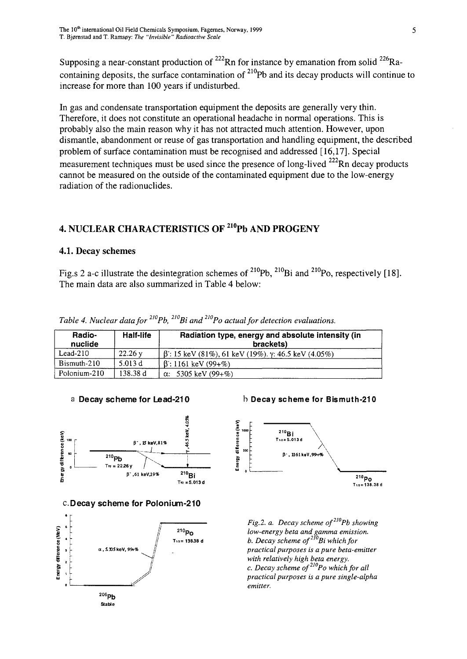Supposing a near-constant production of  $^{222}$ Rn for instance by emanation from solid  $^{226}$ Racontaining deposits, the surface contamination of  $^{210}$ Pb and its decay products will continue to increase for more than 100 years if undisturbed.

In gas and condensate transportation equipment the deposits are generally very thin. Therefore, it does not constitute an operational headache in normal operations. This is probably also the main reason why it has not attracted much attention. However, upon dismantle, abandonment or reuse of gas transportation and handling equipment, the described problem of surface contamination must be recognised and addressed [16,17]. Special measurement techniques must be used since the presence of long-lived <sup>222</sup>Rn decay products cannot be measured on the outside of the contaminated equipment due to the low-energy radiation of the radionuclides.

#### **4. NUCLEAR CHARACTERISTICS OF <sup>210</sup>Pb AND PROGENY**

#### **4.1. Decay schemes**

Fig.s 2 a-c illustrate the desintegration schemes of  $^{210}Pb$ ,  $^{210}Bi$  and  $^{210}Po$ , respectively [18]. The main data are also summarized in Table 4 below:

| Radio-<br>nuclide | Half-life         | Radiation type, energy and absolute intensity (in<br>brackets)    |
|-------------------|-------------------|-------------------------------------------------------------------|
| $Lead-210$        | $22.26 \text{ y}$ | $\beta$ : 15 keV (81%), 61 keV (19%). $\gamma$ : 46.5 keV (4.05%) |
| Bismuth-210       | 5.013 d           | $\beta$ : 1161 keV (99+%)                                         |
| Polonium-210      | 138.38 d          | $\alpha$ : 5305 keV (99+%)                                        |

*Table 4. Nuclear data for 2I0i p b, 2wBi and 2WPo actual for detection evaluations.*



#### c.Decay scheme for Polonium-210







*Fig.2. a. Decay scheme of2I0Pb showing low-energy beta and gamma emission. b. Decay scheme of2l0Bi which for practical purposes is a pure beta-emitter with relatively high beta energy. c. Decay scheme of2WPo which for all practical purposes is a pure single-alpha emitter.*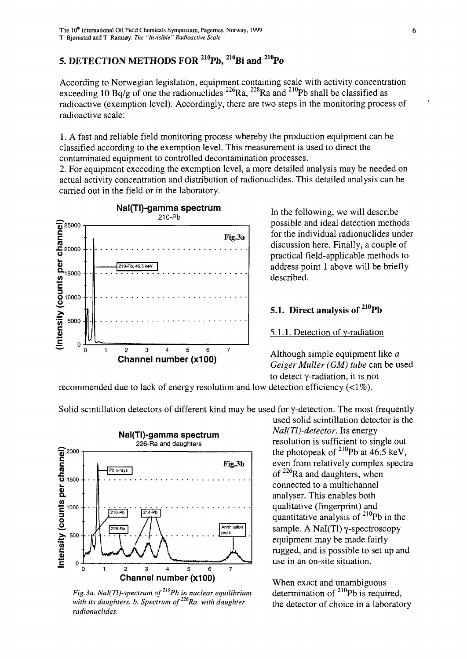# **5. DETECTION METHODS FOR <sup>210</sup>Pb, <sup>210</sup>Bi and <sup>210</sup>Po**

According to Norwegian legislation, equipment containing scale with activity concentration exceeding 10 Bq/g of one the radionuclides  $^{226}$ Ra,  $^{228}$ Ra and  $^{210}$ Pb shall be classified as radioactive (exemption level). Accordingly, there are two steps in the monitoring process of radioactive scale:

1. A fast and reliable field monitoring process whereby the production equipment can be classified according to the exemption level. This measurement is used to direct the contaminated equipment to controlled decontamination processes.

2. For equipment exceeding the exemption level, a more detailed analysis may be needed on actual activity concentration and distribution of radionuclides. This detailed analysis can be carried out in the field or in the laboratory.



In the following, we will describe possible and ideal detection methods for the individual radionuclides under discussion here. Finally, a couple of practical field-applicable methods to address point 1 above will be briefly described.

#### **5.1. Direct analysis of <sup>210</sup>Pb**

5.1.1. Detection of y-radiation

Although simple equipment like *a Geiger Muller (GM) tube* can be used to detect y-radiation, it is not

recommended due to lack of energy resolution and low detection efficiency  $(\langle 1\% \rangle)$ .



Solid scintillation detectors of different kind may be used for y-detection. The most frequently

used solid scintillation detector is the  $Nal(Tl)$ -detector. Its energy <sup>11</sup>/<sub>226</sub>-Ra and daughters resolution is sufficient to single out the photopeak of  $2^{10}$ Pb at 46.5 keV, even from relatively complex spectra of <sup>226</sup>Ra and daughters, when connected to a multichannel analyser. This enables both qualitative (fingerprint) and quantitative analysis of <sup>210</sup>Pb in the sample. A Nal(Tl) y-spectroscopy equipment may be made fairly rugged, and is possible to set up and use in an on-site situation.

> When exact and unambiguous<br>determination of  $^{210}Pb$  is required, the detector of choice in a laboratory

*Fig.3a. NaI(Tl)-spectrum of*<sup>210</sup>*Pb in nuclear equilibrium with its daughters, b. Spectrum of radionuclides.*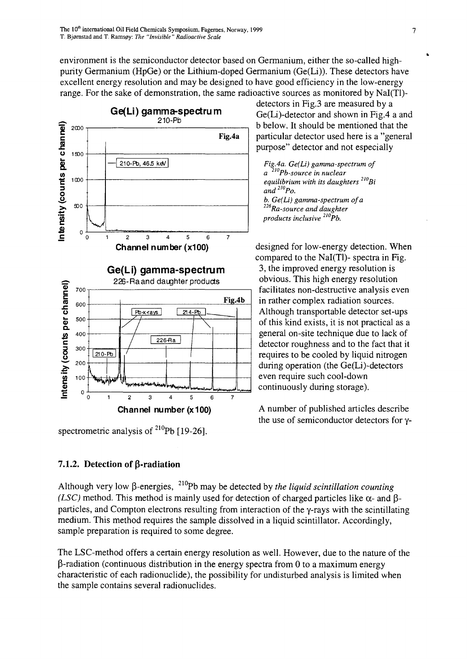environment is the semiconductor detector based on Germanium, either the so-called highpurity Germanium (HpGe) or the Lithium-doped Germanium (Ge(Li)). These detectors have excellent energy resolution and may be designed to have good efficiency in the low-energy range. For the sake of demonstration, the same radioactive sources as monitored by Nal(Tl)-



spectrometric analysis of <sup>210</sup>Pb [19-26].

**7.1.2. Detection of β-radiation** 

Although very low β-energies, <sup>210</sup>Pb may be detected by *the liquid scintillation counting (LSC)* method. This method is mainly used for detection of charged particles like  $\alpha$ - and  $\beta$ particles, and Compton electrons resulting from interaction of the y-rays with the scintillating medium. This method requires the sample dissolved in a liquid scintillator. Accordingly, sample preparation is required to some degree.

The LSC-method offers a certain energy resolution as well. However, due to the nature of the  $\beta$ -radiation (continuous distribution in the energy spectra from 0 to a maximum energy characteristic of each radionuclide), the possibility for undisturbed analysis is limited when the sample contains several radionuclides.

detectors in Fig.3 are measured by a Ge(Li)-detector and shown in Fig.4 a and b below. It should be mentioned that the particular detector used here is a "general purpose" detector and not especially

*FigAa. Ge(Li) gamma-spectrum of a 2loPb-source in nuclear equilibrium with its daughters 2l0Bi and<sup>210</sup>Po. b, Ge(Li) gamma-spectrum of a <sup>22</sup> Ra-source and daughter products inclusive 2WPb.*

designed for low-energy detection. When compared to the Nal(Tl)- spectra in Fig. 3, the improved energy resolution is obvious. This high energy resolution facilitates non-destructive analysis even in rather complex radiation sources. Although transportable detector set-ups of this kind exists, it is not practical as a general on-site technique due to lack of detector roughness and to the fact that it requires to be cooled by liquid nitrogen during operation (the Ge(Li)-detectors even require such cool-down continuously during storage).

A number of published articles describe the use of semiconductor detectors for y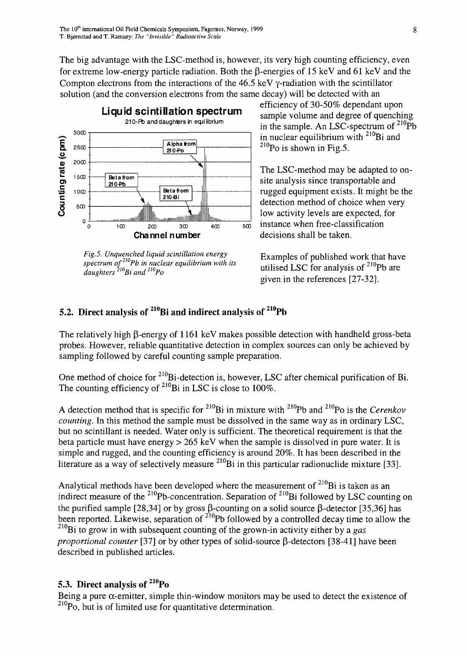The big advantage with the LSC-method is, however, its very high counting efficiency, even for extreme low-energy particle radiation. Both the  $\beta$ -energies of 15 keV and 61 keV and the Compton electrons from the interactions of the 46.5 keV y-radiation with the scintillator solution (and the conversion electrons from the same decay) will be detected with an



*Fig.5. Unquenched liquid scintillation energy spectrum of' Pb in nuclear equilibrium with its daughters<sup>210</sup>Bi and<sup>210</sup>Po*

efficiency of 30-50% dependant upon sample volume and degree of quenching in the sample. An LSC-spectrum of  $2^{10}Pb$ in nuclear equilibrium with  $2^{10}$ Bi and  $^{210}$ Po is shown in Fig.5.

The LSC-method may be adapted to onsite analysis since transportable and rugged equipment exists. It might be the detection method of choice when very low activity levels are expected, for instance when free-classification decisions shall be taken.

Examples of published work that have utilised LSC for analysis of <sup>210</sup>Pb are given in the references [27-32].

## **5.2. Direct analysis of <sup>210</sup>Bi and indirect analysis of <sup>210</sup>Pb**

The relatively high  $\beta$ -energy of 1161 keV makes possible detection with handheld gross-beta probes. However, reliable quantitative detection in complex sources can only be achieved by sampling followed by careful counting sample preparation.

One method of choice for  $^{210}$ Bi-detection is, however, LSC after chemical purification of Bi. The counting efficiency of  $^{210}$ Bi in LSC is close to 100%.

A detection method that is specific for <sup>210</sup>Bi in mixture with <sup>210</sup>Pb and <sup>210</sup>Po is the *Cerenkov counting.* In this method the sample must be dissolved in the same way as in ordinary LSC, but no scintillant is needed. Water only is sufficient. The theoretical requirement is that the beta particle must have energy > 265 keV when the sample is dissolved in pure water. It is simple and rugged, and the counting efficiency is around 20%. It has been described in the literature as a way of selectively measure  $^{210}$ Bi in this particular radionuclide mixture [33].

Analytical methods have been developed where the measurement of  $^{210}$ Bi is taken as an indirect measure of the <sup>210</sup>Pb-concentration. Separation of <sup>210</sup>Bi followed by LSC counting or the purified sample [28,34] or by gross  $\beta$ -counting on a solid source  $\beta$ -detector [35,36] has been reported. Likewise, separation of <sup>210</sup>Pb followed by a controlled decay time to allow the <sup>210</sup>Bi to grow in with subsequent counting of the grown-in activity either by a *gas proportional counter* [37] or by other types of solid-source  $\beta$ -detectors [38-41] have been described in published articles-.

## **5.3. Direct analysis of <sup>210</sup>Po**

Being a pure  $\alpha$ -emitter, simple thin-window monitors may be used to detect the existence of <sup>210</sup>Po, but is of limited use for quantitative determination.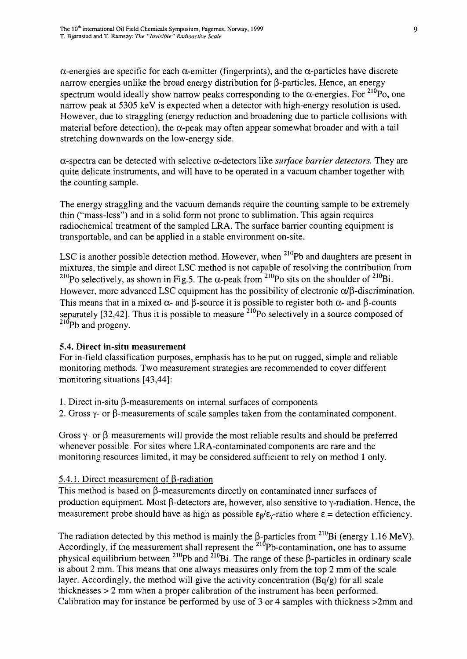$\alpha$ -energies are specific for each  $\alpha$ -emitter (fingerprints), and the  $\alpha$ -particles have discrete narrow energies unlike the broad energy distribution for  $\beta$ -particles. Hence, an energy spectrum would ideally show narrow peaks corresponding to the  $\alpha$ -energies. For  $^{210}P_0$ , one narrow peak at 5305 keV is expected when a detector with high-energy resolution is used. However, due to straggling (energy reduction and broadening due to particle collisions with material before detection), the  $\alpha$ -peak may often appear somewhat broader and with a tail stretching downwards on the low-energy side.

 $\alpha$ -spectra can be detected with selective  $\alpha$ -detectors like *surface barrier detectors*. They are quite delicate instruments, and will have to be operated in a vacuum chamber together with the counting sample.

The energy straggling and the vacuum demands require the counting sample to be extremely thin ("mass-less") and in a solid form not prone to sublimation. This again requires radiochemical treatment of the sampled LRA. The surface barrier counting equipment is transportable, and can be applied in a stable environment on-site.

LSC is another possible detection method. However, when <sup>210</sup>Pb and daughters are present in mixtures, the simple and direct LSC method is not capable of resolving the contribution from <sup>210</sup>Po selectively, as shown in Fig.5. The  $\alpha$ -peak from <sup>210</sup>Po sits on the shoulder of <sup>210</sup>Bi However, more advanced LSC equipment has the possibility of electronic  $\alpha/\beta$ -discrimination. This means that in a mixed  $\alpha$ - and  $\beta$ -source it is possible to register both  $\alpha$ - and  $\beta$ -counts separately [32,42]. Thus it is possible to measure  $^{210}$ Po selectively in a source composed of  $^{210}$ Pb and progeny.

#### 5.4. Direct in-situ measurement

For in-field classification purposes, emphasis has to be put on rugged, simple and reliable monitoring methods. Two measurement strategies are recommended to cover different monitoring situations [43,44]:

- 1. Direct in-situ  $\beta$ -measurements on internal surfaces of components
- 2. Gross  $\gamma$  or  $\beta$ -measurements of scale samples taken from the contaminated component.

Gross  $\gamma$ - or  $\beta$ -measurements will provide the most reliable results and should be preferred whenever possible. For sites where LRA-contaminated components are rare and the monitoring resources limited, it may be considered sufficient to rely on method 1 only.

#### 5.4.1. Direct measurement of B-radiation

This method is based on  $\beta$ -measurements directly on contaminated inner surfaces of production equipment. Most  $\beta$ -detectors are, however, also sensitive to  $\gamma$ -radiation. Hence, the measurement probe should have as high as possible  $\epsilon_0/\epsilon_v$ -ratio where  $\epsilon$  = detection efficiency.

The radiation detected by this method is mainly the  $\beta$ -particles from <sup>210</sup>Bi (energy 1.16 MeV). Accordingly, if the measurement shall represent the <sup>210</sup>Pb-contamination, one has to assume physical equilibrium between <sup>210</sup>Pb and <sup>210</sup>Bi. The range of these  $\beta$ -particles in ordinary scale is about 2 mm. This means that one always measures only from the top 2 mm of the scale layer. Accordingly, the method will give the activity concentration (Bq/g) for all scale thicknesses > 2 mm when a proper calibration of the instrument has been performed. Calibration may for instance be performed by use of 3 or 4 samples with thickness >2mm and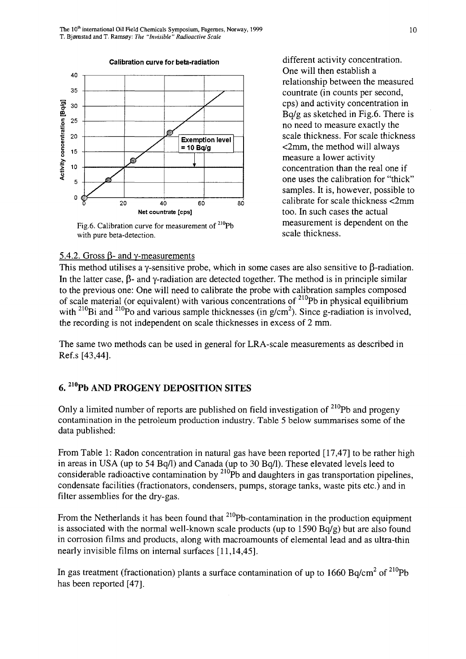**Calibration curve for beta-radiation**



Fig.6. Calibration curve for measurement of <sup>210</sup>Pb with pure beta-detection.

different activity concentration. One will then establish a relationship between the measured countrate (in counts per second, cps) and activity concentration in Bq/g as sketched in Fig.6. There is no need to measure exactly the scale thickness. For scale thickness <2mm, the method will always measure a lower activity concentration than the real one if one uses the calibration for "thick" samples. It is, however, possible to calibrate for scale thickness <2mm too. In such cases the actual measurement is dependent on the scale thickness.

#### 5.4.2. Gross  $\beta$ - and  $\gamma$ -measurements

This method utilises a  $\gamma$ -sensitive probe, which in some cases are also sensitive to  $\beta$ -radiation. In the latter case,  $\beta$ - and y-radiation are detected together. The method is in principle similar to the previous one: One will need to calibrate the probe with calibration samples composed of scale material (or equivalent) with various concentrations of <sup>210</sup>Pb in physical equilibrium with <sup>210</sup>Bi and <sup>210</sup>Po and various sample thicknesses (in  $g/cm<sup>2</sup>$ ). Since g-radiation is involved the recording is not independent on scale thicknesses in excess of 2 mm.

The same two methods can be used in general for LRA-scale measurements as described in Ref.s [43,44].

## **210 6. zluPb AND PROGENY DEPOSITION SITES**

Only a limited number of reports are published on field investigation of  $2^{10}Pb$  and progeny contamination in the petroleum production industry. Table 5 below summarises some of the data published:

From Table 1: Radon concentration in natural gas have been reported [17,47] to be rather high in areas in USA (up to 54 Bq/1) and Canada (up to 30 Bq/1). These elevated levels leed to considerable radioactive contamination by  $^{210}Pb$  and daughters in gas transportation pipelines, condensate facilities (fractionators, condensers, pumps, storage tanks, waste pits etc.) and in filter assemblies for the dry-gas.

From the Netherlands it has been found that <sup>210</sup>Pb-contamination in the production equipment is associated with the normal well-known scale products (up to  $1590$  Bq/g) but are also found in corrosion films and products, along with macroamounts of elemental lead and as ultra-thin nearly invisible films on internal surfaces [11,14,45].

In gas treatment (fractionation) plants a surface contamination of up to 1660 Bq/cm<sup>2</sup> of  $^{210}Pb$ has been reported [47].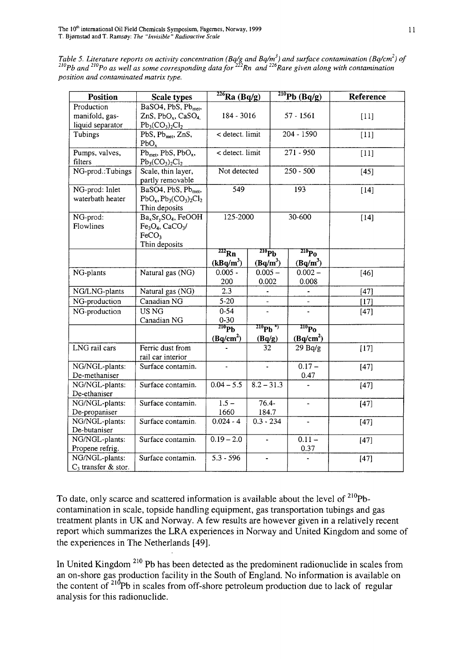*Table 5. Literature reports on activity concentration (Bq/g and Bq/m<sup>3</sup> ) and surface contamination (Bq/cm<sup>2</sup> ) of <sup>210</sup>Pb and 2WPo as well as some corresponding data for<sup>222</sup>Rn and<sup>226</sup>Rare given along with contamination position and contaminated matrix type.*

| <b>Position</b>        | <b>Scale types</b>                                      | $226$ Ra (Bq/g)                        |                          |             | $^{210}Pb$ (Bq/g)        | Reference |
|------------------------|---------------------------------------------------------|----------------------------------------|--------------------------|-------------|--------------------------|-----------|
| Production             | BaSO4, PbS, Pb <sub>met</sub> ,                         |                                        |                          |             |                          |           |
| manifold, gas-         | ZnS, $PbO_x$ , $CaSO_4$                                 | 184 - 3016                             |                          | 57 - 1561   |                          | $[11]$    |
| liquid separator       | $Pb_3(CO_3)_2Cl_2$                                      |                                        |                          |             |                          |           |
| Tubings                | PbS, Pb <sub>met</sub> , ZnS,                           | < detect. limit                        |                          | 204 - 1590  |                          | $[11]$    |
|                        | PbO <sub>x</sub>                                        |                                        |                          |             |                          |           |
| Pumps, valves,         | $Pb_{met}$ , PbS, $PbO_x$ ,                             | $\overline{\phantom{a}}$ detect. limit |                          | $271 - 950$ |                          | $[11]$    |
| filters                | $Pb_3(CO_3)_2Cl_2$                                      |                                        |                          |             |                          |           |
| NG-prod.:Tubings       | Scale, thin layer,                                      | Not detected                           |                          | $250 - 500$ |                          | $[45]$    |
|                        | partly removable                                        |                                        |                          |             |                          |           |
| NG-prod: Inlet         | BaSO4, PbS, Pb <sub>met</sub> ,                         | $\overline{549}$                       |                          | 193         |                          | $[14]$    |
| waterbath heater       | $PbOx, Pb3(CO3)2Cl2$                                    |                                        |                          |             |                          |           |
|                        | Thin deposits                                           |                                        |                          |             |                          |           |
| NG-prod:               | Ba <sub>x</sub> Sr <sub>v</sub> SO <sub>4</sub> , FeOOH | 125-2000                               |                          | 30-600      |                          | $[14]$    |
| Flowlines              | $Fe3O4$ , CaCO <sub>3</sub> /                           |                                        |                          |             |                          |           |
|                        | FeCO <sub>2</sub>                                       |                                        |                          |             |                          |           |
|                        | Thin deposits                                           |                                        |                          |             |                          |           |
|                        |                                                         | $222$ Rn                               | $^{210}\text{Pb}$        |             | $^{210}\text{Po}$        |           |
|                        |                                                         | (kBq/m <sup>3</sup> )                  | $(Bq/m^3)$               |             | $(Bq/m^3)$               |           |
| NG-plants              | Natural gas (NG)                                        | $0.005 -$                              | $0.005 -$                |             | $0.002 -$                | [46]      |
|                        |                                                         | 200                                    | 0.002                    |             | 0.008                    |           |
| NG/LNG-plants          | Natural gas (NG)                                        | 2.3                                    | $\overline{\phantom{a}}$ |             |                          | $[47]$    |
| NG-production          | Canadian NG                                             | $5 - 20$                               | $\blacksquare$           |             | $\overline{a}$           | $[17]$    |
| NG-production          | US NG                                                   | $0 - 54$                               |                          |             |                          | $[47]$    |
|                        | Canadian NG                                             | $0 - 30$                               |                          |             |                          |           |
|                        |                                                         | $^{210}\text{Pb}$                      | $^{210}Pb^{4)}$          |             | 210 <sub>P0</sub>        |           |
|                        |                                                         | (Bq/cm <sup>2</sup> )                  | (Bq/g)                   |             | (Bq/cm <sup>2</sup> )    |           |
| LNG rail cars          | Ferric dust from                                        |                                        | 32                       |             | 29Bq/g                   | $[17]$    |
|                        | rail car interior                                       |                                        |                          |             |                          |           |
| NG/NGL-plants:         | Surface contamin.                                       | $\overline{a}$                         |                          |             | $0.17 -$                 | $[47]$    |
| De-methaniser          |                                                         |                                        |                          |             | 0.47                     |           |
| NG/NGL-plants:         | Surface contamin.                                       | $0.04 - 5.5$                           | $8.2 - 31.3$             |             |                          | $[47]$    |
| De-ethaniser           |                                                         |                                        |                          |             |                          |           |
| NG/NGL-plants:         | Surface contamin.                                       | $1.5 -$                                | $76.4 -$                 |             | $\overline{\phantom{a}}$ | $[47]$    |
| De-propaniser          |                                                         | 1660                                   | 184.7                    |             |                          |           |
| NG/NGL-plants:         | Surface contamin.                                       | $0.024 - 4$                            | $0.3 - 234$              |             |                          | $[47]$    |
| De-butaniser           |                                                         |                                        |                          |             |                          |           |
| NG/NGL-plants:         | Surface contamin.                                       | $0.19 - 2.0$                           | $\blacksquare$           |             | $0.11 -$                 | $[47]$    |
| Propene refrig.        |                                                         |                                        |                          |             | 0.37                     |           |
| NG/NGL-plants:         | Surface contamin.                                       | $5.3 - 596$                            |                          |             |                          | $[47]$    |
| $C_3$ transfer & stor. |                                                         |                                        |                          |             |                          |           |

To date, only scarce and scattered information is available about the level of <sup>210</sup>Pbcontamination in scale, topside handling equipment, gas transportation tubings and gas treatment plants in UK and Norway. A few results are however given in a relatively recent report which summarizes the LRA experiences in Norway and United Kingdom and some of the experiences in The Netherlands [49].

In United Kingdom <sup>210</sup> Pb has been detected as the predominent radionuclide in scales from an on-shore gas production facility in the South of England. No information is available on the content of  $2^{10}Pb$  in scales from off-shore petroleum production due to lack of regular analysis for this radionuclide.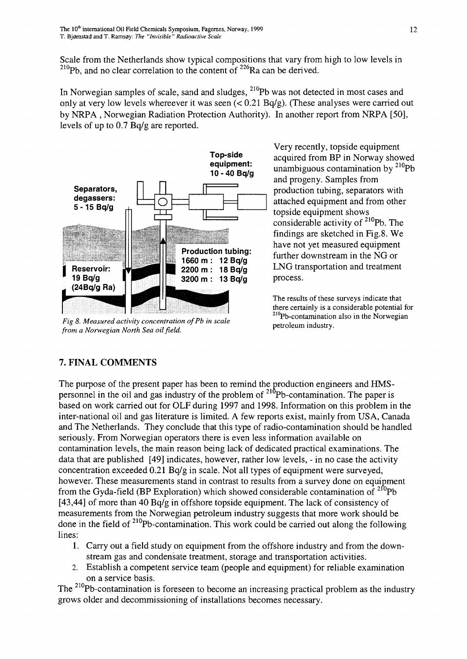Scale from the Netherlands show typical compositions that vary from high to low levels in  $^{210}$ Pb, and no clear correlation to the content of  $^{226}$ Ra can be derived.

In Norwegian samples of scale, sand and sludges, <sup>210</sup>Pb was not detected in most cases and only at very low levels whereever it was seen (< 0.21 Bq/g). (These analyses were carried out by NRPA , Norwegian Radiation Protection Authority). In another report from NRPA [50], levels of up to 0.7 Bq/g are reported.



*Fig 8. Measured activity concentration ofPb in scale* from a Norwegian North Sea oil field.

Very recently, topside equipment acquired from BP in Norway showed unambiguous contamination by <sup>210</sup>Pb and progeny. Samples from production tubing, separators with attached equipment and from other topside equipment shows considerable activity of <sup>210</sup>Pb. The findings are sketched in Fig.8. We have not yet measured equipment further downstream in the NG or LNG transportation and treatment process.

The results of these surveys indicate that there certainly is a considerable potential for <sup>210</sup>Pb-contamination also in the Norwegian petroleum industry.

# **7. FINAL COMMENTS**

The purpose of the present paper has been to remind the production engineers and HMSpersonnel in the oil and gas industry of the problem of <sup>210</sup>Pb-contamination. The paper is based on work carried out for OLF during 1997 and 1998. Information on this problem in the inter-national oil and gas literature is limited. A few reports exist, mainly from USA, Canada and The Netherlands. They conclude that this type of radio-contamination should be handled seriously. From Norwegian operators there is even less information available on contamination levels, the main reason being lack of dedicated practical examinations. The data that are published [49] indicates, however, rather low levels, - in no case the activity concentration exceeded 0.21 Bq/g in scale. Not all types of equipment were surveyed, however. These measurements stand in contrast to results from a survey done on equipment from the Gyda-field (BP Exploration) which showed considerable contamination of  $2^{10}Pb$ [43,44] of more than 40 Bq/g in offshore topside equipment. The lack of consistency of measurements from the Norwegian petroleum industry suggests that more work should be done in the field of <sup>210</sup>Pb-contamination. This work could be carried out along the following lines:

- Carry out a field study on equipment from the offshore industry and from the down-1. stream gas and condensate treatment, storage and transportation activities.
- Establish a competent service team (people and equipment) for reliable examination **2.**on a service basis.

The <sup>210</sup>Pb-contamination is foreseen to become an increasing practical problem as the industry grows older and decommissioning of installations becomes necessary.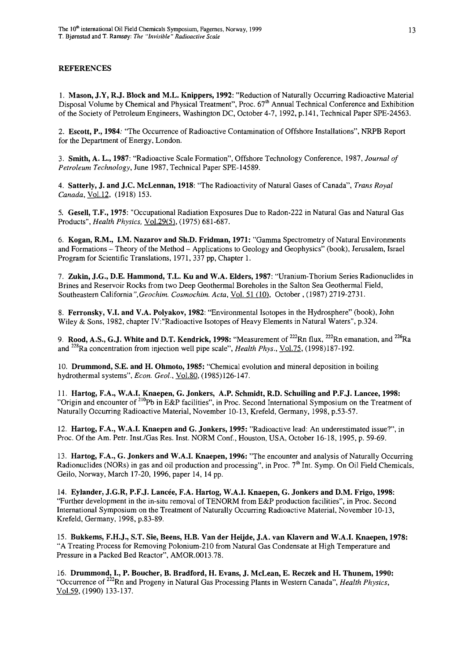#### **REFERENCES**

**1. Mason, J.Y, R.J. Block and M.L. Knippers, 1992:** "Reduction of Naturally Occurring Radioactive Material Disposal Volume by Chemical and Physical Treatment", Proc. 67<sup>th</sup> Annual Technical Conference and Exhibition of the Society of Petroleum Engineers, Washington DC, October 4-7, 1992, p.141, Technical Paper SPE-24563.

2. **Escott, P., 1984:** "The Occurrence of Radioactive Contamination of Offshore Installations", NRPB Report for the Department of Energy, London.

3. **Smith, A. L., 1987:** "Radioactive Scale Formation", Offshore Technology Conference, 1987, *Journal of Petroleum Technology,* June 1987, Technical Paper SPE-14589.

4. **Satterly, J. and J.C. McLennan, 1918:** "The Radioactivity of Natural Gases of Canada", *Trans Royal Canada,* Vol.12. (1918) 153.

5. **Gesell, T.F., 1975:** "Occupational Radiation Exposures Due to Radon-222 in Natural Gas and Natural Gas Products", *Health Physics,* Vol.29(5). (1975) 681-687.

6. **Kogan, R.M., I.M. Nazarov and Sh.D. Fridman, 1971:** "Gamma Spectrometry of Natural Environments and Formations - Theory of the Method - Applications to Geology and Geophysics" (book), Jerusalem, Israel Program for Scientific Translations, 1971, 337 pp, Chapter 1.

7. **Zukin, J.G., D.E. Hammond, T.L. Ku and W.A. Elders, 1987:** "Uranium-Thorium Series Radionuclides in Brines and Reservoir Rocks from two Deep Geothermal Boreholes in the Salton Sea Geothermal Field, Southeastern California*".Geochim. Cosmochim. Ada,* Vol. 51 (10), October, (1987) 2719-2731.

8. **Ferronsky, V.I. and V.A. Polyakov, 1982:** "Environmental Isotopes in the Hydrosphere" (book), John Wiley & Sons, 1982, chapter IV:"Radioactive Isotopes of Heavy Elements in Natural Waters", p.324.

9. Rood, A.S., G.J. White and D.T. Kendrick, 1998: "Measurement of <sup>222</sup>Rn flux, <sup>222</sup>Rn emanation, and <sup>226</sup>Ri and <sup>228</sup>Ra concentration from injection well pipe scale", *Health Phys.*, <u>Vol.75,</u> (1998)187-192.

10. **Drummond, S.E. and H. Ohmoto, 1985:** "Chemical evolution and mineral deposition in boiling hydrothermal systems", *Econ. Geol.,* Vol.80. (1985)126-147.

11. **Hartog, F.A., W.A.I. Knaepen, G. Jonkers, A.P. Schmidt, R.D. Schuiling and P.F.J. Lancee, 1998:** "Origin and encounter of <sup>210</sup>Pb in E&P facilities", in Proc. Second International Symposium on the Treatment of Naturally Occurring Radioactive Material, November 10-13, Krefeld, Germany, 1998, p.53-57.

12. **Hartog, F.A., W.A.I. Knaepen and G. Jonkers, 1995:** "Radioactive lead: An underestimated issue?", in Proc. Of the Am. Petr. Inst./Gas Res. Inst. NORM Conf., Houston, USA, October 16-18, 1995, p. 59-69.

13. **Hartog, F.A., G. Jonkers and W.A.I. Knaepen, 1996:** "The encounter and analysis of Naturally Occurring Radionuclides (NORs) in gas and oil production and processing", in Proc. 7<sup>th</sup> Int. Symp. On Oil Field Chemicals, Geilo, Norway, March 17-20, 1996, paper 14, 14 pp.

14. **Eylander, J.G.R, P.F.J. Lancee, F.A. Hartog, W.A.I. Knaepen, G. Jonkers and D.M. Frigo, 1998:** "Further development in the in-situ removal of TENORM from E&P production facilities", in Proc. Second International Symposium on the Treatment of Naturally Occurring Radioactive Material, November 10-13, Krefeld, Germany, 1998, p.83-89.

15. **Bukkems, F.H.J., S.T. Sie, Beens, H.B. Van der Heijde, J.A. van Klavern and W.A.I. Knaepen, 1978:** "A Treating Process for Removing Polonium-210 from Natural Gas Condensate at High Temperature and Pressure in a Packed Bed Reactor", AMOR.0013.78.

16. **Drummond, I., P. Boucher, B. Bradford, H. Evans, J. McLean, E. Reczek and H. Thunem, 1990:** "Occurrence of <sup>222</sup>Rn and Progeny in Natural Gas Processing Plants in Western Canada", *Health Physics,* Vol.59. (1990) 133-137.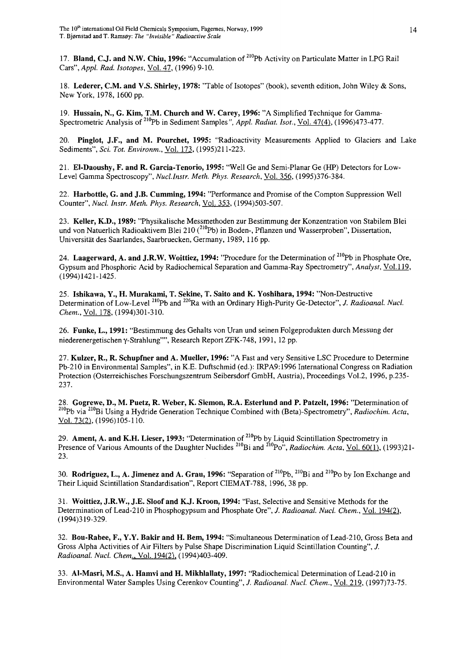17. **Bland, C.J. and N.W. Chiu, 1996:** "Accumulation of <sup>210</sup>Pb Activity on Particulate Matter in LPG Rail Cars", *Appl. Rad. Isotopes,* Vol. 47, (1996) 9-10.

18. **Lederer, CM. and V.S. Shirley, 1978:** "Table of Isotopes" (book), seventh edition, John Wiley & Sons, New York, 1978,1600 pp.

19. **Hussain, N., G. Kim, T.M. Church and W. Carey, 1996:** "A Simplified Technique for Gamma-Spectrometric Analysis of <sup>210</sup>Pb in Sediment Samples", Appl. Radiat. Isot., Vol. 47(4), (1996)473-477.

20. **Pinglot, J.F., and M. Pourchet, 1995:** "Radioactivity Measurements Applied to Glaciers and Lake Sediments", *Sci. Tot. Environm.,* Vol. 173, (1995)211-223.

21. **El-Daoushy, F. and R. Garcia-Tenorio, 1995:** "Well Ge and Semi-Planar Ge (HP) Detectors for Low-Level Gamma Spectroscopy", *Nucl.Instr. Meth. Phys. Research,* Vol. 356. (1995)376-384.

22. **Harbottle, G. and J.B. Gumming, 1994:** "Performance and Promise of the Compton Suppression Well Counter", *Nucl. Instr. Meth. Phys. Research.* Vol. 353, (1994)503-507.

23. **Keller, K.D., 1989:** "Physikalische Messmethoden zur Bestimmung der Konzentration von Stabilem Blei und von Natuerlich Radioaktivem Blei 210 (<sup>210</sup>Pb) in Boden-, Pflanzen und Wasserproben", Dissertation, Universitat des Saarlandes, Saarbruecken, Germany, 1989, 116 pp.

24. Laagerward, A. and J.R.W. Woittiez, 1994: "Procedure for the Determination of <sup>210</sup>Pb in Phosphate Ore, Gypsum and Phosphoric Acid by Radiochemical Separation and Gamma-Ray Spectrometry", *Analyst,* Vol.119, (1994)1421-1425.

25. **Ishikawa, Y., H. Murakami, T. Sekine, T. Saito and K. Yoshihara, 1994:** "Non-Destructive Determination of Low-Level <sup>210</sup>Pb and <sup>226</sup>Ra with an Ordinary High-Purity Ge-Detector", *J. Radioanal. Nucl. Chem.,* Vol. 178, (1994)301-310.

26. **Funke, L., 1991:** "Bestimmung des Gehalts von Uran und seinen Folgeprodukten durch Messung der niederenergetischen γ-Strahlung"", Research Report ZFK-748, 1991, 12 pp.

27. **Kulzer, R., R. Schupfner and A. Mueller, 1996:** "A Fast and very Sensitive LSC Procedure to Determine Pb-210 in Environmental Samples", in K.E. Duftschmid (ed.): IRPA9:1996 International Congress on Radiation Protection (Osterreichisches Forschungszentrum Seibersdorf GmbH, Austria), Proceedings Vol.2, 1996, p.235- 237.

28. **Gogrewe, D., M. Puetz, R. Weber, K. Siemon, R.A. Esterlund and P. Patzelt, 1996:** "Determination of <sup>210</sup>Pb via <sup>210</sup>Bi Using a Hydride Generation Technique Combined with (Beta)-Spectrometry", Radiochim. Acta, Vol. 73(2). (1996)105-110.

29. **Ament,** A. **and K.H. Lieser, 1993:** "Determination of <sup>210</sup>Pb by Liquid Scintillation Spectrometry in Presence of Various Amounts of the Daughter Nuclides<sup>210</sup>Bi and <sup>210</sup>Po", *Radiochim. Acta*, <u>Vol. 60(1)</u>, (1993)21-23.

30. Rodriguez, L., A. Jimenez and A. Grau, 1996: "Separation of <sup>210</sup>Pb, <sup>210</sup>Bi and <sup>210</sup>Po by Ion Exchange and Their Liquid Scintillation Standardisation", Report CIEMAT-788, 1996, 38 pp.

31. **Woittiez, J.R.W., J.E. Sloof and K.J. Kroon, 1994:** "Fast, Selective and Sensitive Methods for the Determination of Lead-210 in Phosphogypsum and Phosphate Ore", *J. Radioanal. Nucl. Chem.,* Vol. 194(2), (1994)319-329.

32. **Bou-Rabee, F., Y.Y. Bakir and H. Bern, 1994:** "Simultaneous Determination of Lead-210, Gross Beta and Gross Alpha Activities of Air Filters by Pulse Shape Discrimination Liquid Scintillation Counting", *J. Radioanal. Nucl. Chem.,* Vol. 194(2), (1994)403-409.

33. **Al-Masri, M.S., A. Hamvi and H. Mikhlallaty, 1997:** "Radiochemical Determination of Lead-210 in Environmental Water Samples Using Cerenkov Counting", *J. Radioanal. Nucl. Chem.,* Vol. 219, (1997)73-75.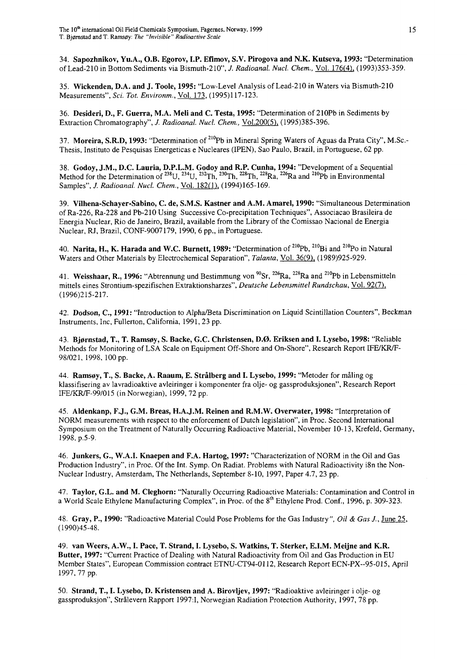**34. Sapozhnikov, Yu.A., O.B. Egorov, I.P. Efimov, S.V. Pirogova and N.K. Kutseva, 1993:** "Determination of Lead-210 in Bottom Sediments via Bismuth-210", *J. Radioanal. Nucl. Chem.,* Vol. 176(4). (1993)353-359.

35. **Wickenden, D.A. and J. Toole, 1995:** "Low-Level Analysis of Lead-210 in Waters via Bismuth-210 Measurements", *Sci. Tot. Environm.,* Vol. 173, (1995)117-123.

36. **Desideri, D., F. Guerra, M.A. Meli and C. Testa, 1995:** "Determination of 210Pb in Sediments by Extraction Chromatography", *J. Radioanal. Nucl. Chem.*, Vol.200(5), (1995)385-396.

37. Moreira, S.R.D, 1993: "Determination of <sup>210</sup>Pb in Mineral Spring Waters of Aguas da Prata City", M.Sc.-Thesis, Instituto de Pesquisas Energeticas e Nucleares (IPEN), Sao Paulo, Brazil, in Portuguese, 62 pp.

38. **Godoy, J.M., D.C. Lauria, D.P.L.M. Godoy and R.P. Cunha, 1994:** "Development of a Sequential Method for the Determination of <sup>238</sup>U, <sup>234</sup>U, <sup>232</sup>Th, <sup>230</sup>Th, <sup>228</sup>Th, <sup>228</sup>Ra, <sup>226</sup>Ra and <sup>210</sup>Pb in Environment Samples", *J. Radioanal. Nucl. Chem.,* Vol. 182(1), (1994)165-169.

39. **Vilhena-Schayer-Sabino, C. de, S.M.S. Kastner and A.M. Amarel, 1990:** "Simultaneous Determination of Ra-226, Ra-228 and Pb-210 Using Successive Co-precipitation Techniques", Associacao Brasileira de Energia Nuclear, Rio de Janeiro, Brazil, available from the Library of the Comissao Nacional de Energia Nuclear, RJ, Brazil, CONF-9007179, 1990, 6 pp., in Portuguese.

40. **Narita, H., K. Harada and W.C. Burnett, 1989:** "Determination of <sup>210</sup>Pb, <sup>210</sup>Bi and <sup>210</sup>Po in Natura Waters and Other Materials by Electrochemical Separation", *Talanta,* Vol. 36(9), (1989)925-929.

41. Weisshaar, R., 1996: "Abtrennung und Bestimmung von <sup>90</sup>Sr, <sup>226</sup>Ra, <sup>228</sup>Ra and <sup>210</sup>Pb in Lebensmitteli mittels eines Strontium-spezifischen Extraktionsharzes", *Deutsche Lebensmittel Rundschau,* Vol. 92(7), (1996)215-217.

42. **Dodson, C, 1991:** "Introduction to Alpha/Beta Discrimination on Liquid Scintillation Counters", Beckman Instruments, Inc, Fullerton, California, 1991,23 pp.

43. **Bj0rnstad, T., T. Rams0y, S. Backe, G.C. Christensen, D.0. Eriksen and I. Lysebo, 1998:** "Reliable Methods for Monitoring of LSA Scale on Equipment Off-Shore and On-Shore", Research Report IFE/KR/F-98/021, 1998, 100 pp.

44. Ramsøy, T., S. Backe, A. Raaum, E. Strålberg and I. Lysebo, 1999: "Metoder for måling og klassifisering av lavradioaktive avleiringer i komponenter fra olje- og gassproduksjonen", Research Report IFE/KR/F-99/015 (in Norwegian), 1999, 72 pp.

45. **Aldenkanp, F.J., G.M. Breas, H.A.J.M. Reinen and R.M.W. Overwater, 1998:** "Interpretation of NORM measurements with respect to the enforcement of Dutch legislation", in Proc. Second International Symposium on the Treatment of Naturally Occurring Radioactive Material, November 10-13, Krefeld, Germany, 1998,p.5-9.

46. **Junkers, G., W.A.I. Knaepen and F.A. Hartog, 1997:** "Characterization of NORM in the Oil and Gas Production Industry", in Proc. Of the Int. Symp. On Radiat. Problems with Natural Radioactivity i8n the Non-Nuclear Industry, Amsterdam, The Netherlands, September 8-10, 1997, Paper 4.7, 23 pp.

47. **Taylor, G.L. and M. Cleghorn:** "Naturally Occurring Radioactive Materials: Contamination and Control in a World Scale Ethylene Manufacturing Complex", in Proc. of the 8<sup>th</sup> Ethylene Prod. Conf., 1996, p. 309-323.

48. **Gray, P., 1990:** "Radioactive Material Could Pose Problems for the Gas Industry", *Oil & Gas J.,* June 25. (1990)45-48.

49. **van Weers, A.W., I. Pace, T. Strand, I. Lysebo, S. Watkins, T. Sterker, E.I.M. Meijne and K.R. Butter, 1997:** "Current Practice of Dealing with Natural Radioactivity from Oil and Gas Production in EU Member States", European Commission contract ETNU-CT94-0112, Research Report ECN-PX-95-015, April 1997,77 pp.

50. **Strand, T., I. Lysebo, D. Kristensen and A. Birovljev, 1997:** "Radioaktive avleiringer i olje- og gassproduksjon", Stralevern Rapport 1997:1, Norwegian Radiation Protection Authority, 1997, 78 pp.